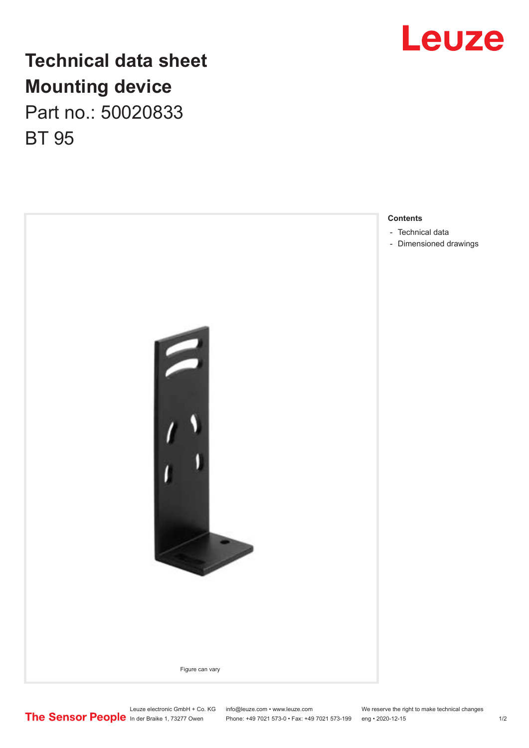

## **Technical data sheet Mounting device** Part no.: 50020833 BT 95



Leuze electronic GmbH + Co. KG info@leuze.com • www.leuze.com We reserve the right to make technical changes